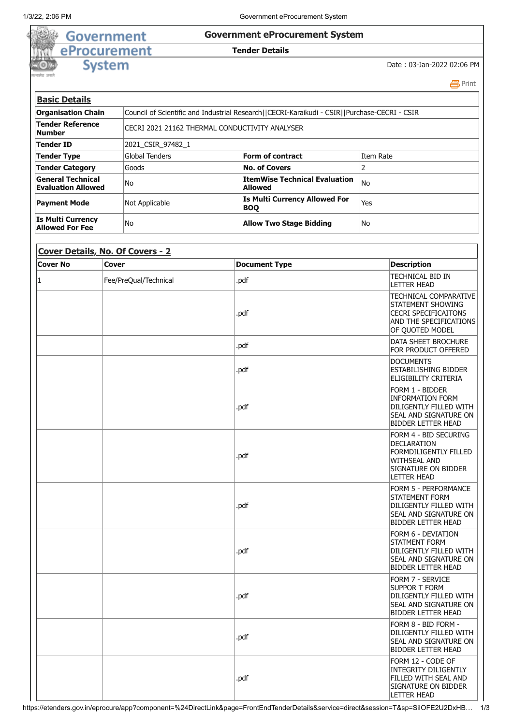39)

G)

### 1/3/22, 2:06 PM Government eProcurement System

## **Government eProcurement System**

### **Tender Details**

# **System**

**Government** 

eProcurement

#### Date : 03-Jan-2022 02:06 PM

|                                                       |                                                 |                                                                                              | 昌Print    |
|-------------------------------------------------------|-------------------------------------------------|----------------------------------------------------------------------------------------------|-----------|
| <b>Basic Details</b>                                  |                                                 |                                                                                              |           |
| <b>Organisation Chain</b>                             |                                                 | Council of Scientific and Industrial Research  CECRI-Karaikudi - CSIR  Purchase-CECRI - CSIR |           |
| <b>Tender Reference</b><br>Number                     | ICECRI 2021 21162 THERMAL CONDUCTIVITY ANALYSER |                                                                                              |           |
| <b>Tender ID</b>                                      | 2021 CSIR 97482 1                               |                                                                                              |           |
| Tender Type                                           | Global Tenders                                  | Form of contract                                                                             | Item Rate |
| <b>Tender Category</b>                                | Goods                                           | <b>No. of Covers</b>                                                                         |           |
| <b>General Technical</b><br><b>Evaluation Allowed</b> | lNo.                                            | <b>ItemWise Technical Evaluation</b><br><b>Allowed</b>                                       | lNo       |
| <b>Payment Mode</b>                                   | Not Applicable                                  | <b>Is Multi Currency Allowed For</b><br><b>BOQ</b>                                           | Yes       |
| <b>Is Multi Currency</b><br><b>Allowed For Fee</b>    | lNo.                                            | <b>Allow Two Stage Bidding</b>                                                               | lNo       |

| Cover Details, No. Of Covers - 2 |                       |                      |                                                                                                                                                        |  |  |
|----------------------------------|-----------------------|----------------------|--------------------------------------------------------------------------------------------------------------------------------------------------------|--|--|
| <b>Cover No</b>                  | <b>Cover</b>          | <b>Document Type</b> | <b>Description</b>                                                                                                                                     |  |  |
| 1                                | Fee/PreQual/Technical | .pdf                 | TECHNICAL BID IN<br><b>LETTER HEAD</b>                                                                                                                 |  |  |
|                                  |                       | .pdf                 | TECHNICAL COMPARATIVE<br>STATEMENT SHOWING<br><b>CECRI SPECIFICAITONS</b><br>AND THE SPECIFICATIONS<br>OF QUOTED MODEL                                 |  |  |
|                                  |                       | .pdf                 | DATA SHEET BROCHURE<br>FOR PRODUCT OFFERED                                                                                                             |  |  |
|                                  |                       | .pdf                 | <b>DOCUMENTS</b><br>ESTABILISHING BIDDER<br>ELIGIBILITY CRITERIA                                                                                       |  |  |
|                                  |                       | .pdf                 | Form 1 - Bidder<br><b>INFORMATION FORM</b><br>DILIGENTLY FILLED WITH<br>SEAL AND SIGNATURE ON<br><b>BIDDER LETTER HEAD</b>                             |  |  |
|                                  |                       | .pdf                 | FORM 4 - BID SECURING<br><b>DECLARATION</b><br><b>FORMDILIGENTLY FILLED</b><br><b>WITHSEAL AND</b><br><b>SIGNATURE ON BIDDER</b><br><b>LETTER HEAD</b> |  |  |
|                                  |                       | .pdf                 | <b>FORM 5 - PERFORMANCE</b><br><b>STATEMENT FORM</b><br>DILIGENTLY FILLED WITH<br>SEAL AND SIGNATURE ON<br><b>BIDDER LETTER HEAD</b>                   |  |  |
|                                  |                       | .pdf                 | <b>FORM 6 - DEVIATION</b><br><b>STATMENT FORM</b><br>DILIGENTLY FILLED WITH<br>SEAL AND SIGNATURE ON<br><b>BIDDER LETTER HEAD</b>                      |  |  |
|                                  |                       | .pdf                 | <b>FORM 7 - SERVICE</b><br><b>SUPPOR T FORM</b><br>DILIGENTLY FILLED WITH<br>SEAL AND SIGNATURE ON<br><b>BIDDER LETTER HEAD</b>                        |  |  |
|                                  |                       | .pdf                 | FORM 8 - BID FORM -<br>DILIGENTLY FILLED WITH<br>SEAL AND SIGNATURE ON<br><b>BIDDER LETTER HEAD</b>                                                    |  |  |
|                                  |                       | .pdf                 | FORM 12 - CODE OF<br><b>INTEGRITY DILIGENTLY</b><br><b>FILLED WITH SEAL AND</b><br>SIGNATURE ON BIDDER<br><b>LETTER HEAD</b>                           |  |  |

https://etenders.gov.in/eprocure/app?component=%24DirectLink&page=FrontEndTenderDetails&service=direct&session=T&sp=SiIOFE2U2DxHB… 1/3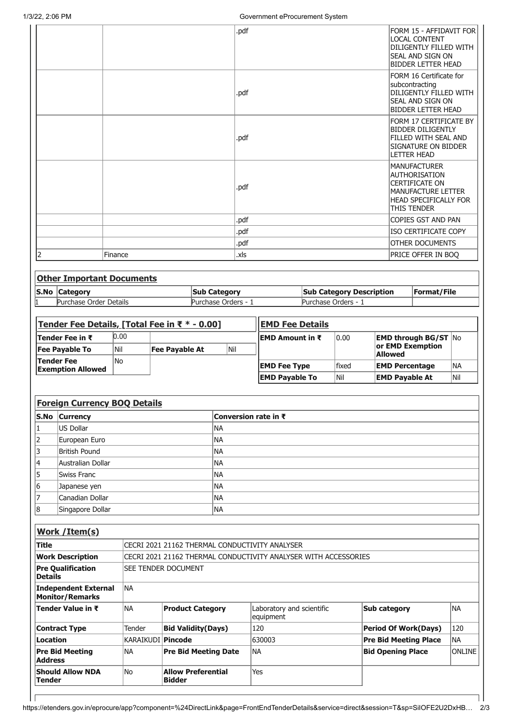|                 | 1/3/22, 2:06 PM                               |                                    |                       |                             |                     | Government eProcurement System                                  |                                 |                          |                                                                                                                                                  |                  |
|-----------------|-----------------------------------------------|------------------------------------|-----------------------|-----------------------------|---------------------|-----------------------------------------------------------------|---------------------------------|--------------------------|--------------------------------------------------------------------------------------------------------------------------------------------------|------------------|
|                 |                                               |                                    |                       |                             | .pdf                |                                                                 |                                 |                          | FORM 15 - AFFIDAVIT FOR<br><b>LOCAL CONTENT</b><br>DILIGENTLY FILLED WITH<br><b>SEAL AND SIGN ON</b><br><b>BIDDER LETTER HEAD</b>                |                  |
|                 |                                               |                                    |                       |                             | .pdf                |                                                                 |                                 |                          | FORM 16 Certificate for<br>subcontracting<br>DILIGENTLY FILLED WITH<br><b>SEAL AND SIGN ON</b><br><b>BIDDER LETTER HEAD</b>                      |                  |
|                 |                                               |                                    |                       |                             | .pdf                |                                                                 |                                 |                          | FORM 17 CERTIFICATE BY<br><b>BIDDER DILIGENTLY</b><br><b>FILLED WITH SEAL AND</b><br>SIGNATURE ON BIDDER<br><b>LETTER HEAD</b>                   |                  |
|                 |                                               |                                    |                       |                             | .pdf                |                                                                 |                                 |                          | <b>MANUFACTURER</b><br>AUTHORISATION<br><b>CERTIFICATE ON</b><br><b>MANUFACTURE LETTER</b><br><b>HEAD SPECIFICALLY FOR</b><br><b>THIS TENDER</b> |                  |
|                 |                                               |                                    |                       |                             | .pdf                |                                                                 |                                 |                          | COPIES GST AND PAN                                                                                                                               |                  |
|                 |                                               |                                    |                       |                             | .pdf                |                                                                 |                                 |                          | <b>ISO CERTIFICATE COPY</b>                                                                                                                      |                  |
|                 |                                               |                                    |                       |                             | .pdf                |                                                                 |                                 |                          | <b>OTHER DOCUMENTS</b>                                                                                                                           |                  |
| 2               |                                               | Finance                            |                       |                             | .xls                |                                                                 |                                 |                          | PRICE OFFER IN BOQ                                                                                                                               |                  |
|                 | <b>Other Important Documents</b>              |                                    |                       |                             |                     |                                                                 |                                 |                          |                                                                                                                                                  |                  |
| S.No            | <b>Category</b>                               |                                    |                       |                             |                     |                                                                 | <b>Sub Category Description</b> |                          | Format/File                                                                                                                                      |                  |
|                 | Purchase Order Details                        |                                    |                       | <b>Sub Category</b>         | Purchase Orders - 1 |                                                                 | Purchase Orders - 1             |                          |                                                                                                                                                  |                  |
|                 |                                               |                                    |                       |                             |                     |                                                                 |                                 |                          |                                                                                                                                                  |                  |
|                 | Tender Fee Details, [Total Fee in ₹ * - 0.00] |                                    |                       |                             |                     | <b>EMD Fee Details</b>                                          |                                 |                          |                                                                                                                                                  |                  |
|                 |                                               |                                    |                       |                             |                     |                                                                 |                                 |                          |                                                                                                                                                  |                  |
|                 | Tender Fee in ₹                               | 0.00                               |                       |                             |                     | <b>EMD Amount in <math>\bar{x}</math></b>                       | 0.00                            |                          |                                                                                                                                                  |                  |
|                 |                                               | Nil                                |                       |                             | Nil                 |                                                                 |                                 |                          | <b>EMD through BG/ST No</b><br>or EMD Exemption                                                                                                  |                  |
|                 | <b>Fee Payable To</b><br><b>Tender Fee</b>    | lNo                                | <b>Fee Payable At</b> |                             |                     |                                                                 |                                 | <b>Allowed</b>           |                                                                                                                                                  |                  |
|                 | <b>Exemption Allowed</b>                      |                                    |                       |                             |                     | <b>EMD Fee Type</b>                                             | fixed                           | <b>EMD Percentage</b>    |                                                                                                                                                  | <b>NA</b>        |
|                 |                                               |                                    |                       |                             |                     | <b>EMD Payable To</b>                                           | Nil                             | <b>EMD Payable At</b>    |                                                                                                                                                  | Nil              |
|                 |                                               |                                    |                       |                             |                     |                                                                 |                                 |                          |                                                                                                                                                  |                  |
|                 | <b>Foreign Currency BOQ Details</b>           |                                    |                       |                             |                     |                                                                 |                                 |                          |                                                                                                                                                  |                  |
|                 | S.No Currency                                 |                                    |                       |                             |                     | Conversion rate in ₹                                            |                                 |                          |                                                                                                                                                  |                  |
| 1               | <b>US Dollar</b>                              |                                    |                       | <b>NA</b>                   |                     |                                                                 |                                 |                          |                                                                                                                                                  |                  |
| 2               | European Euro                                 |                                    |                       | <b>NA</b>                   |                     |                                                                 |                                 |                          |                                                                                                                                                  |                  |
| 3<br>4          | <b>British Pound</b>                          |                                    |                       | <b>NA</b>                   |                     |                                                                 |                                 |                          |                                                                                                                                                  |                  |
| 5               | Australian Dollar<br><b>Swiss Franc</b>       |                                    |                       | <b>NA</b><br><b>NA</b>      |                     |                                                                 |                                 |                          |                                                                                                                                                  |                  |
| 6               | Japanese yen                                  |                                    |                       | <b>NA</b>                   |                     |                                                                 |                                 |                          |                                                                                                                                                  |                  |
|                 | Canadian Dollar                               |                                    |                       | <b>NA</b>                   |                     |                                                                 |                                 |                          |                                                                                                                                                  |                  |
| 8               | Singapore Dollar                              |                                    |                       | <b>NA</b>                   |                     |                                                                 |                                 |                          |                                                                                                                                                  |                  |
|                 |                                               |                                    |                       |                             |                     |                                                                 |                                 |                          |                                                                                                                                                  |                  |
|                 | Work / Item(s)                                |                                    |                       |                             |                     |                                                                 |                                 |                          |                                                                                                                                                  |                  |
| <b>Title</b>    |                                               |                                    |                       |                             |                     | CECRI 2021 21162 THERMAL CONDUCTIVITY ANALYSER                  |                                 |                          |                                                                                                                                                  |                  |
|                 | <b>Work Description</b>                       |                                    |                       |                             |                     | CECRI 2021 21162 THERMAL CONDUCTIVITY ANALYSER WITH ACCESSORIES |                                 |                          |                                                                                                                                                  |                  |
| <b>Details</b>  | <b>Pre Qualification</b>                      | SEE TENDER DOCUMENT                |                       |                             |                     |                                                                 |                                 |                          |                                                                                                                                                  |                  |
|                 | <b>Independent External</b>                   | <b>NA</b>                          |                       |                             |                     |                                                                 |                                 |                          |                                                                                                                                                  |                  |
|                 | <b>Monitor/Remarks</b><br>Tender Value in ₹   | <b>NA</b>                          |                       | <b>Product Category</b>     |                     | Laboratory and scientific                                       |                                 | <b>Sub category</b>      |                                                                                                                                                  | NA               |
|                 |                                               |                                    |                       |                             |                     | equipment                                                       |                                 |                          |                                                                                                                                                  |                  |
| <b>Location</b> | <b>Contract Type</b>                          | Tender<br><b>KARAIKUDI Pincode</b> |                       | <b>Bid Validity(Days)</b>   |                     | 120<br>630003                                                   |                                 |                          | <b>Period Of Work(Days)</b>                                                                                                                      | 120<br><b>NA</b> |
| <b>Address</b>  | <b>Pre Bid Meeting</b>                        | <b>NA</b>                          |                       | <b>Pre Bid Meeting Date</b> |                     | <b>NA</b>                                                       |                                 | <b>Bid Opening Place</b> | <b>Pre Bid Meeting Place</b>                                                                                                                     | <b>ONLINE</b>    |